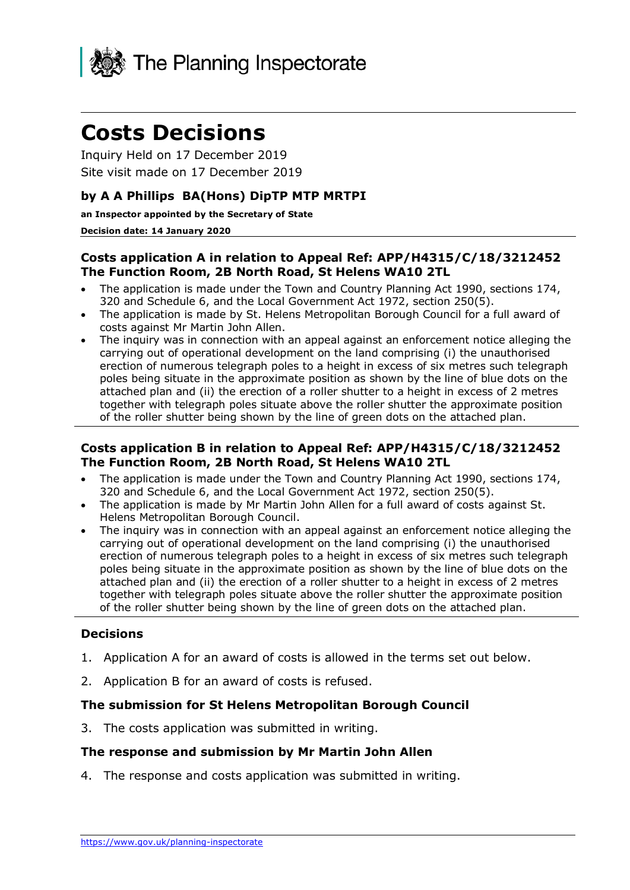

# **Costs Decisions**

Inquiry Held on 17 December 2019 Site visit made on 17 December 2019

## **by A A Phillips BA(Hons) DipTP MTP MRTPI**

**an Inspector appointed by the Secretary of State** 

#### **Decision date: 14 January 2020**

#### **Costs application A in relation to Appeal Ref: APP/H4315/C/18/3212452 The Function Room, 2B North Road, St Helens WA10 2TL**

- The application is made under the Town and Country Planning Act 1990, sections 174, 320 and Schedule 6, and the Local Government Act 1972, section 250(5).
- The application is made by St. Helens Metropolitan Borough Council for a full award of costs against Mr Martin John Allen.
- The inquiry was in connection with an appeal against an enforcement notice alleging the carrying out of operational development on the land comprising (i) the unauthorised erection of numerous telegraph poles to a height in excess of six metres such telegraph poles being situate in the approximate position as shown by the line of blue dots on the attached plan and (ii) the erection of a roller shutter to a height in excess of 2 metres together with telegraph poles situate above the roller shutter the approximate position of the roller shutter being shown by the line of green dots on the attached plan.

#### **Costs application B in relation to Appeal Ref: APP/H4315/C/18/3212452 The Function Room, 2B North Road, St Helens WA10 2TL**

- The application is made under the Town and Country Planning Act 1990, sections 174, 320 and Schedule 6, and the Local Government Act 1972, section 250(5).
- The application is made by Mr Martin John Allen for a full award of costs against St. Helens Metropolitan Borough Council.
- The inquiry was in connection with an appeal against an enforcement notice alleging the carrying out of operational development on the land comprising (i) the unauthorised erection of numerous telegraph poles to a height in excess of six metres such telegraph poles being situate in the approximate position as shown by the line of blue dots on the attached plan and (ii) the erection of a roller shutter to a height in excess of 2 metres together with telegraph poles situate above the roller shutter the approximate position of the roller shutter being shown by the line of green dots on the attached plan.

### **Decisions**

- 1. Application A for an award of costs is allowed in the terms set out below.
- 2. Application B for an award of costs is refused.

### **The submission for St Helens Metropolitan Borough Council**

3. The costs application was submitted in writing.

### **The response and submission by Mr Martin John Allen**

4. The response and costs application was submitted in writing.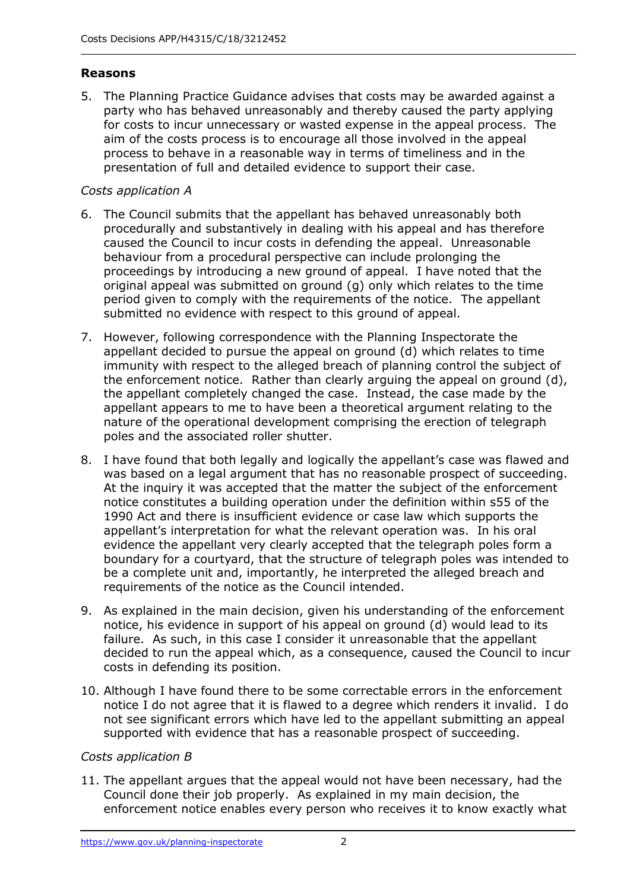## **Reasons**

5. The Planning Practice Guidance advises that costs may be awarded against a party who has behaved unreasonably and thereby caused the party applying for costs to incur unnecessary or wasted expense in the appeal process. The aim of the costs process is to encourage all those involved in the appeal process to behave in a reasonable way in terms of timeliness and in the presentation of full and detailed evidence to support their case.

## *Costs application A*

- 6. The Council submits that the appellant has behaved unreasonably both procedurally and substantively in dealing with his appeal and has therefore caused the Council to incur costs in defending the appeal. Unreasonable behaviour from a procedural perspective can include prolonging the proceedings by introducing a new ground of appeal. I have noted that the original appeal was submitted on ground (g) only which relates to the time period given to comply with the requirements of the notice. The appellant submitted no evidence with respect to this ground of appeal.
- 7. However, following correspondence with the Planning Inspectorate the appellant decided to pursue the appeal on ground (d) which relates to time immunity with respect to the alleged breach of planning control the subject of the enforcement notice. Rather than clearly arguing the appeal on ground (d), the appellant completely changed the case. Instead, the case made by the appellant appears to me to have been a theoretical argument relating to the nature of the operational development comprising the erection of telegraph poles and the associated roller shutter.
- 8. I have found that both legally and logically the appellant's case was flawed and was based on a legal argument that has no reasonable prospect of succeeding. At the inquiry it was accepted that the matter the subject of the enforcement notice constitutes a building operation under the definition within s55 of the 1990 Act and there is insufficient evidence or case law which supports the appellant's interpretation for what the relevant operation was. In his oral evidence the appellant very clearly accepted that the telegraph poles form a boundary for a courtyard, that the structure of telegraph poles was intended to be a complete unit and, importantly, he interpreted the alleged breach and requirements of the notice as the Council intended.
- 9. As explained in the main decision, given his understanding of the enforcement notice, his evidence in support of his appeal on ground (d) would lead to its failure. As such, in this case I consider it unreasonable that the appellant decided to run the appeal which, as a consequence, caused the Council to incur costs in defending its position.
- 10. Although I have found there to be some correctable errors in the enforcement notice I do not agree that it is flawed to a degree which renders it invalid. I do not see significant errors which have led to the appellant submitting an appeal supported with evidence that has a reasonable prospect of succeeding.

## *Costs application B*

11. The appellant argues that the appeal would not have been necessary, had the Council done their job properly. As explained in my main decision, the enforcement notice enables every person who receives it to know exactly what